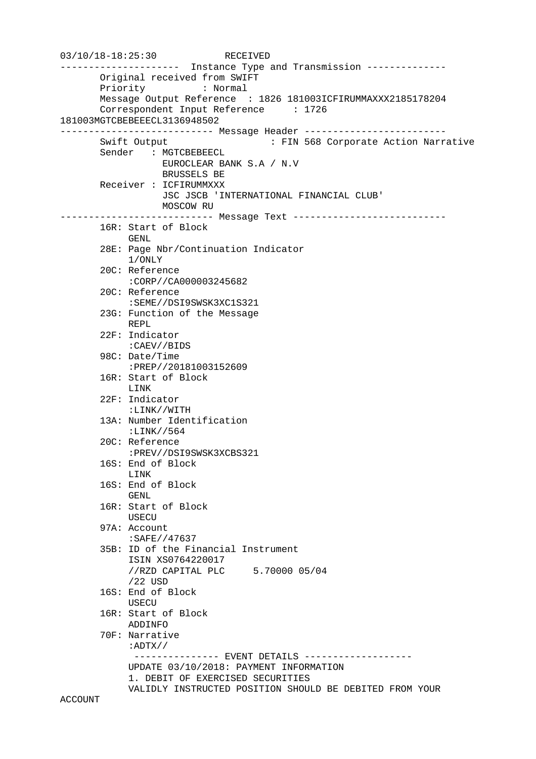```
03/10/18-18:25:30 RECEIVED
--------------------- Instance Type and Transmission -------------- 
        Original received from SWIFT 
        Priority : Normal 
        Message Output Reference : 1826 181003ICFIRUMMAXXX2185178204 
        Correspondent Input Reference : 1726 
181003MGTCBEBEEECL3136948502 
--------------------------- Message Header ------------------------- 
        Swift Output : FIN 568 Corporate Action Narrative 
        Sender : MGTCBEBEECL 
                   EUROCLEAR BANK S.A / N.V 
                   BRUSSELS BE 
        Receiver : ICFIRUMMXXX 
                   JSC JSCB 'INTERNATIONAL FINANCIAL CLUB' 
                   MOSCOW RU 
            --------------------------- Message Text --------------------------- 
        16R: Start of Block 
             GENL 
        28E: Page Nbr/Continuation Indicator 
             1/ONLY 
        20C: Reference 
             :CORP//CA000003245682 
        20C: Reference 
             :SEME//DSI9SWSK3XC1S321 
        23G: Function of the Message 
             REPL 
        22F: Indicator 
             :CAEV//BIDS 
        98C: Date/Time 
             :PREP//20181003152609 
        16R: Start of Block 
             LINK 
        22F: Indicator 
             :LINK//WITH 
        13A: Number Identification 
             :LINK//564 
        20C: Reference 
             :PREV//DSI9SWSK3XCBS321 
        16S: End of Block 
             LINK 
        16S: End of Block 
             GENL 
        16R: Start of Block 
             USECU 
        97A: Account 
             :SAFE//47637 
        35B: ID of the Financial Instrument 
             ISIN XS0764220017 
             //RZD CAPITAL PLC 5.70000 05/04 
             /22 USD 
        16S: End of Block 
             USECU 
        16R: Start of Block 
             ADDINFO 
        70F: Narrative 
             :ADTX// 
             -------------- EVENT DETAILS ------------------
             UPDATE 03/10/2018: PAYMENT INFORMATION 
             1. DEBIT OF EXERCISED SECURITIES 
             VALIDLY INSTRUCTED POSITION SHOULD BE DEBITED FROM YOUR 
ACCOUNT
```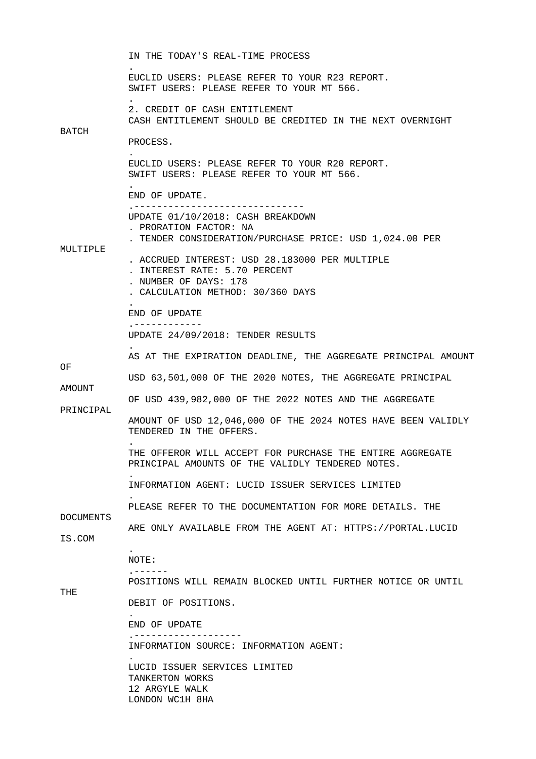IN THE TODAY'S REAL-TIME PROCESS . EUCLID USERS: PLEASE REFER TO YOUR R23 REPORT. SWIFT USERS: PLEASE REFER TO YOUR MT 566. . 2. CREDIT OF CASH ENTITLEMENT CASH ENTITLEMENT SHOULD BE CREDITED IN THE NEXT OVERNIGHT BATCH PROCESS. . EUCLID USERS: PLEASE REFER TO YOUR R20 REPORT. SWIFT USERS: PLEASE REFER TO YOUR MT 566. . END OF UPDATE. .------------------------------ UPDATE 01/10/2018: CASH BREAKDOWN . PRORATION FACTOR: NA . TENDER CONSIDERATION/PURCHASE PRICE: USD 1,024.00 PER MULTIPLE . ACCRUED INTEREST: USD 28.183000 PER MULTIPLE . INTEREST RATE: 5.70 PERCENT . NUMBER OF DAYS: 178 . CALCULATION METHOD: 30/360 DAYS . END OF UPDATE .------------ UPDATE 24/09/2018: TENDER RESULTS . AS AT THE EXPIRATION DEADLINE, THE AGGREGATE PRINCIPAL AMOUNT OF USD 63,501,000 OF THE 2020 NOTES, THE AGGREGATE PRINCIPAL AMOUNT OF USD 439,982,000 OF THE 2022 NOTES AND THE AGGREGATE PRINCIPAL AMOUNT OF USD 12,046,000 OF THE 2024 NOTES HAVE BEEN VALIDLY TENDERED IN THE OFFERS. . THE OFFEROR WILL ACCEPT FOR PURCHASE THE ENTIRE AGGREGATE PRINCIPAL AMOUNTS OF THE VALIDLY TENDERED NOTES. . INFORMATION AGENT: LUCID ISSUER SERVICES LIMITED . PLEASE REFER TO THE DOCUMENTATION FOR MORE DETAILS. THE DOCUMENTS ARE ONLY AVAILABLE FROM THE AGENT AT: HTTPS://PORTAL.LUCID IS.COM . NOTE: .------ POSITIONS WILL REMAIN BLOCKED UNTIL FURTHER NOTICE OR UNTIL THE DEBIT OF POSITIONS. . END OF UPDATE .------------------- INFORMATION SOURCE: INFORMATION AGENT: . LUCID ISSUER SERVICES LIMITED TANKERTON WORKS 12 ARGYLE WALK LONDON WC1H 8HA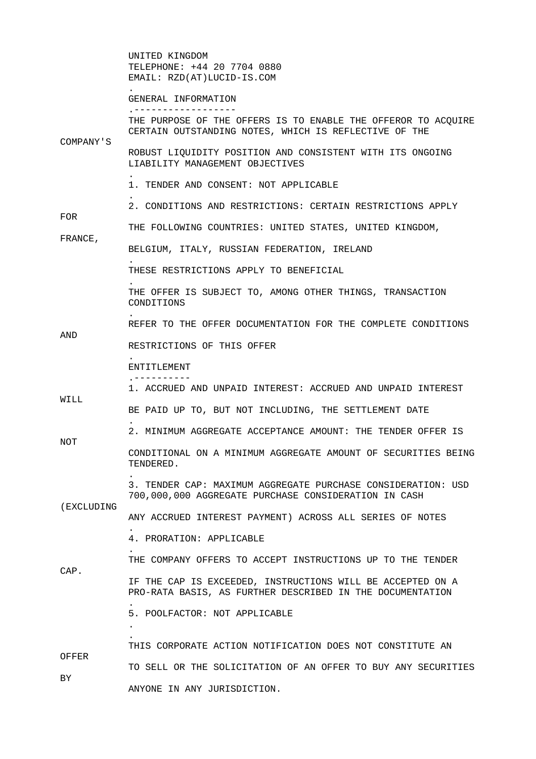UNITED KINGDOM TELEPHONE: +44 20 7704 0880 EMAIL: RZD(AT)LUCID-IS.COM

 GENERAL INFORMATION .------------------

 THE PURPOSE OF THE OFFERS IS TO ENABLE THE OFFEROR TO ACQUIRE CERTAIN OUTSTANDING NOTES, WHICH IS REFLECTIVE OF THE COMPANY'S

 ROBUST LIQUIDITY POSITION AND CONSISTENT WITH ITS ONGOING LIABILITY MANAGEMENT OBJECTIVES

1. TENDER AND CONSENT: NOT APPLICABLE

2. CONDITIONS AND RESTRICTIONS: CERTAIN RESTRICTIONS APPLY

THE FOLLOWING COUNTRIES: UNITED STATES, UNITED KINGDOM,

FRANCE,

FOR

.

.

.

.

.

.

.

.

.

.

.

.

 . .

BELGIUM, ITALY, RUSSIAN FEDERATION, IRELAND

THESE RESTRICTIONS APPLY TO BENEFICIAL

 THE OFFER IS SUBJECT TO, AMONG OTHER THINGS, TRANSACTION CONDITIONS

REFER TO THE OFFER DOCUMENTATION FOR THE COMPLETE CONDITIONS

AND

RESTRICTIONS OF THIS OFFER

## ENTITLEMENT .----------

1. ACCRUED AND UNPAID INTEREST: ACCRUED AND UNPAID INTEREST

WILL

BE PAID UP TO, BUT NOT INCLUDING, THE SETTLEMENT DATE

2. MINIMUM AGGREGATE ACCEPTANCE AMOUNT: THE TENDER OFFER IS

NOT

 CONDITIONAL ON A MINIMUM AGGREGATE AMOUNT OF SECURITIES BEING TENDERED.

 3. TENDER CAP: MAXIMUM AGGREGATE PURCHASE CONSIDERATION: USD 700,000,000 AGGREGATE PURCHASE CONSIDERATION IN CASH

(EXCLUDING

ANY ACCRUED INTEREST PAYMENT) ACROSS ALL SERIES OF NOTES

4. PRORATION: APPLICABLE

THE COMPANY OFFERS TO ACCEPT INSTRUCTIONS UP TO THE TENDER

CAP.

 IF THE CAP IS EXCEEDED, INSTRUCTIONS WILL BE ACCEPTED ON A PRO-RATA BASIS, AS FURTHER DESCRIBED IN THE DOCUMENTATION

5. POOLFACTOR: NOT APPLICABLE

 THIS CORPORATE ACTION NOTIFICATION DOES NOT CONSTITUTE AN OFFER TO SELL OR THE SOLICITATION OF AN OFFER TO BUY ANY SECURITIES BY ANYONE IN ANY JURISDICTION.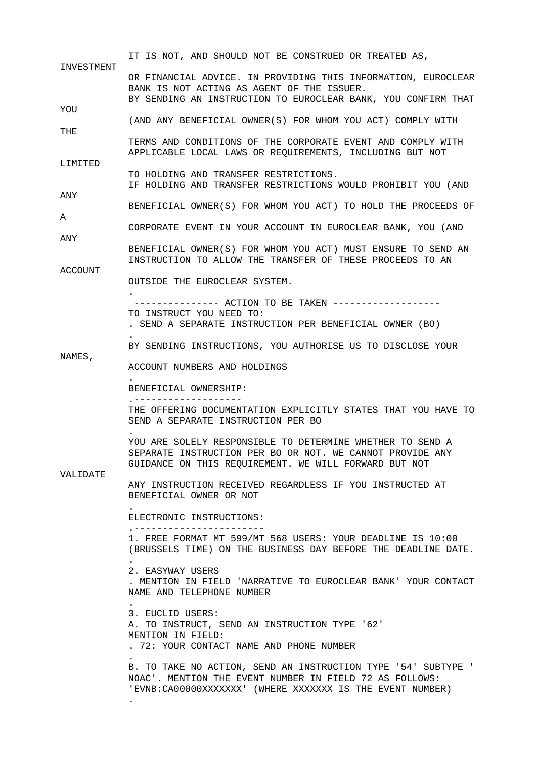IT IS NOT, AND SHOULD NOT BE CONSTRUED OR TREATED AS, INVESTMENT OR FINANCIAL ADVICE. IN PROVIDING THIS INFORMATION, EUROCLEAR BANK IS NOT ACTING AS AGENT OF THE ISSUER. BY SENDING AN INSTRUCTION TO EUROCLEAR BANK, YOU CONFIRM THAT YOU (AND ANY BENEFICIAL OWNER(S) FOR WHOM YOU ACT) COMPLY WITH THE TERMS AND CONDITIONS OF THE CORPORATE EVENT AND COMPLY WITH APPLICABLE LOCAL LAWS OR REQUIREMENTS, INCLUDING BUT NOT LIMITED TO HOLDING AND TRANSFER RESTRICTIONS. IF HOLDING AND TRANSFER RESTRICTIONS WOULD PROHIBIT YOU (AND ANY BENEFICIAL OWNER(S) FOR WHOM YOU ACT) TO HOLD THE PROCEEDS OF A CORPORATE EVENT IN YOUR ACCOUNT IN EUROCLEAR BANK, YOU (AND ANY BENEFICIAL OWNER(S) FOR WHOM YOU ACT) MUST ENSURE TO SEND AN INSTRUCTION TO ALLOW THE TRANSFER OF THESE PROCEEDS TO AN ACCOUNT OUTSIDE THE EUROCLEAR SYSTEM. . --------------- ACTION TO BE TAKEN ------------------- TO INSTRUCT YOU NEED TO: . SEND A SEPARATE INSTRUCTION PER BENEFICIAL OWNER (BO) . BY SENDING INSTRUCTIONS, YOU AUTHORISE US TO DISCLOSE YOUR NAMES, ACCOUNT NUMBERS AND HOLDINGS . BENEFICIAL OWNERSHIP: .------------------- THE OFFERING DOCUMENTATION EXPLICITLY STATES THAT YOU HAVE TO SEND A SEPARATE INSTRUCTION PER BO . YOU ARE SOLELY RESPONSIBLE TO DETERMINE WHETHER TO SEND A SEPARATE INSTRUCTION PER BO OR NOT. WE CANNOT PROVIDE ANY GUIDANCE ON THIS REQUIREMENT. WE WILL FORWARD BUT NOT VALIDATE ANY INSTRUCTION RECEIVED REGARDLESS IF YOU INSTRUCTED AT BENEFICIAL OWNER OR NOT . ELECTRONIC INSTRUCTIONS: .----------------------- 1. FREE FORMAT MT 599/MT 568 USERS: YOUR DEADLINE IS 10:00 (BRUSSELS TIME) ON THE BUSINESS DAY BEFORE THE DEADLINE DATE. . 2. EASYWAY USERS . MENTION IN FIELD 'NARRATIVE TO EUROCLEAR BANK' YOUR CONTACT NAME AND TELEPHONE NUMBER . 3. EUCLID USERS: A. TO INSTRUCT, SEND AN INSTRUCTION TYPE '62' MENTION IN FIELD: . 72: YOUR CONTACT NAME AND PHONE NUMBER . B. TO TAKE NO ACTION, SEND AN INSTRUCTION TYPE '54' SUBTYPE ' NOAC'. MENTION THE EVENT NUMBER IN FIELD 72 AS FOLLOWS: 'EVNB:CA00000XXXXXXX' (WHERE XXXXXXX IS THE EVENT NUMBER) .